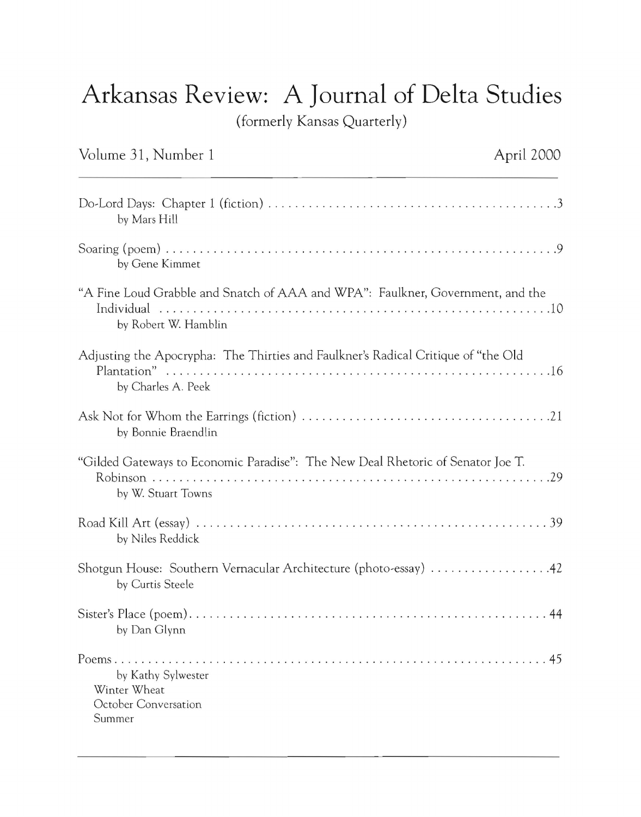## **Arkansas Review: A Journal of Delta Studies**

(formerly Kansas Quarterly)

| Volume 31, Number 1                                                                                     | April 2000 |
|---------------------------------------------------------------------------------------------------------|------------|
| by Mars Hill                                                                                            |            |
| by Gene Kimmet                                                                                          |            |
| "A Fine Loud Grabble and Snatch of AAA and WPA": Faulkner, Government, and the<br>by Robert W. Hamblin  |            |
| Adjusting the Apocrypha: The Thirties and Faulkner's Radical Critique of "the Old<br>by Charles A. Peek |            |
| by Bonnie Braendlin                                                                                     |            |
| "Gilded Gateways to Economic Paradise": The New Deal Rhetoric of Senator Joe T.<br>by W. Stuart Towns   |            |
| by Niles Reddick                                                                                        |            |
| Shotgun House: Southern Vernacular Architecture (photo-essay) 42<br>by Curtis Steele                    |            |
| by Dan Glynn                                                                                            |            |
| by Kathy Sylwester<br>Winter Wheat<br>October Conversation<br>Summer                                    | 45         |